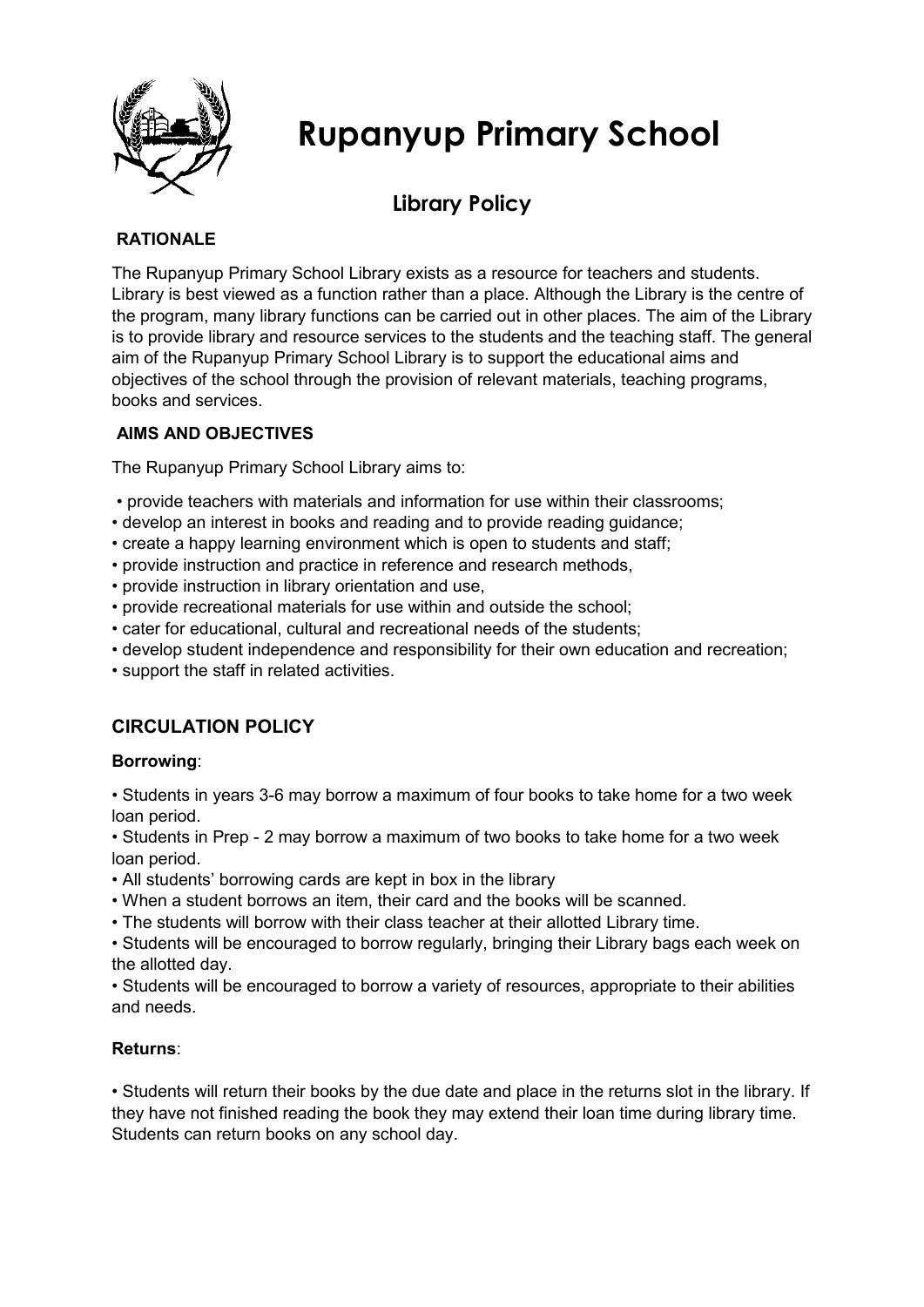

# **Rupanyup Primary School**

## **Library Policy**

#### **RATIONALE**

The Rupanyup Primary School Library exists as a resource for teachers and students. Library is best viewed as a function rather than a place. Although the Library is the centre of the program, many library functions can be carried out in other places. The aim of the Library is to provide library and resource services to the students and the teaching staff. The general aim of the Rupanyup Primary School Library is to support the educational aims and objectives of the school through the provision of relevant materials, teaching programs, books and services.

#### **AIMS AND OBJECTIVES**

The Rupanyup Primary School Library aims to:

- provide teachers with materials and information for use within their classrooms;
- develop an interest in books and reading and to provide reading guidance;
- create a happy learning environment which is open to students and staff;
- provide instruction and practice in reference and research methods,
- provide instruction in library orientation and use,
- provide recreational materials for use within and outside the school;
- cater for educational, cultural and recreational needs of the students;
- develop student independence and responsibility for their own education and recreation;
- support the staff in related activities.

### **CIRCULATION POLICY**

#### **Borrowing**:

• Students in years 3-6 may borrow a maximum of four books to take home for a two week loan period.

• Students in Prep - 2 may borrow a maximum of two books to take home for a two week loan period.

- All students' borrowing cards are kept in box in the library
- When a student borrows an item, their card and the books will be scanned.
- The students will borrow with their class teacher at their allotted Library time.

• Students will be encouraged to borrow regularly, bringing their Library bags each week on the allotted day.

• Students will be encouraged to borrow a variety of resources, appropriate to their abilities and needs.

#### **Returns**:

• Students will return their books by the due date and place in the returns slot in the library. If they have not finished reading the book they may extend their loan time during library time. Students can return books on any school day.